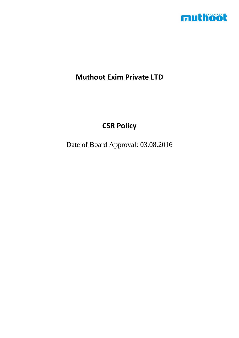

## **Muthoot Exim Private LTD**

## **CSR Policy**

Date of Board Approval: 03.08.2016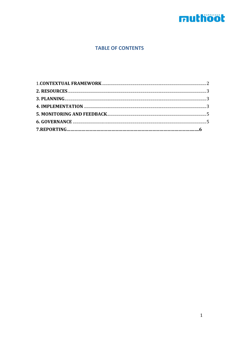# muthoot

## **TABLE OF CONTENTS**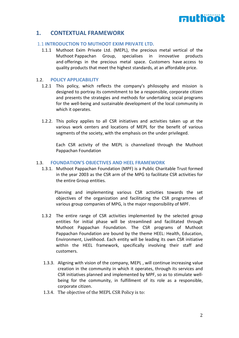# muthööt

## <span id="page-2-0"></span>**1. CONTEXTUAL FRAMEWORK**

#### 1.1 **INTRODUCTION TO MUTHOOT EXIM PRIVATE LTD.**

1.1.1 Muthoot Exim Private Ltd. (MEPL), the precious metal vertical of the Muthoot Pappachan Group, specialises in innovative products and offerings in the precious metal space. Customers have access to quality products that meet the highest standards, at an affordable price.

#### 1.2. **POLICY APPLICABILITY**

- 1.2.1 This policy, which reflects the company's philosophy and mission is designed to portray its commitment to be a responsible, corporate citizen and presents the strategies and methods for undertaking social programs for the well-being and sustainable development of the local community in which it operates.
- 1.2.2. This policy applies to all CSR initiatives and activities taken up at the various work centers and locations of MEPL for the benefit of various segments of the society, with the emphasis on the under privileged.

 Each CSR activity of the MEPL is channelized through the Muthoot Pappachan Foundation

#### 1.3. **FOUNDATION'S OBJECTIVES AND HEEL FRAMEWORK**

1.3.1. Muthoot Pappachan Foundation (MPF) is a Public Charitable Trust formed in the year 2003 as the CSR arm of the MPG to facilitate CSR activities for the entire Group entities.

 Planning and implementing various CSR activities towards the set objectives of the organization and facilitating the CSR programmes of various group companies of MPG, is the major responsibility of MPF.

- 1.3.2 The entire range of CSR activities implemented by the selected group entities for initial phase will be streamlined and facilitated through Muthoot Pappachan Foundation. The CSR programs of Muthoot Pappachan Foundation are bound by the theme HEEL: Health, Education, Environment, Livelihood. Each entity will be leading its own CSR initiative within the HEEL framework, specifically involving their staff and customers.
- 1.3.3. Aligning with vision of the company, MEPL , will continue increasing value creation in the community in which it operates, through its services and CSR initiatives planned and implemented by MPF, so as to stimulate wellbeing for the community, in fulfillment of its role as a responsible, corporate citizen.
- 1.3.4. The objective of the MEPL CSR Policy is to: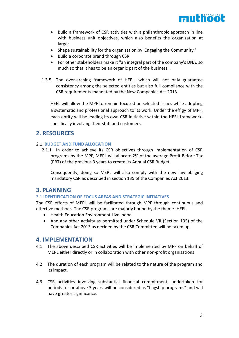

- Build a framework of CSR activities with a philanthropic approach in line with business unit objectives, which also benefits the organization at large;
- Shape sustainability for the organization by 'Engaging the Community.'
- Build a corporate brand through CSR
- For other stakeholders make it "an integral part of the company's DNA, so much so that it has to be an organic part of the business".
- 1.3.5. The over-arching framework of HEEL, which will not only guarantee consistency among the selected entities but also full compliance with the CSR requirements mandated by the New Companies Act 2013.

HEEL will allow the MPF to remain focused on selected issues while adopting a systematic and professional approach to its work. Under the effigy of MPF, each entity will be leading its own CSR initiative within the HEEL framework, specifically involving their staff and customers.

## <span id="page-3-0"></span>**2. RESOURCES**

#### 2.1. **BUDGET AND FUND ALLOCATION**

2.1.1. In order to achieve its CSR objectives through implementation of CSR programs by the MPF, MEPL will allocate 2% of the average Profit Before Tax (PBT) of the previous 3 years to create its Annual CSR Budget*.* 

Consequently, doing so MEPL will also comply with the new law obliging mandatory CSR as described in section 135 of the Companies Act 2013.

### <span id="page-3-1"></span>**3. PLANNING**

#### 3.1 **IDENTIFICATION OF FOCUS AREAS AND STRATEGIC INITIATIVES**

The CSR efforts of MEPL will be facilitated through MPF through continuous and effective methods. The CSR programs are majorly bound by the theme- HEEL

- Health Education Environment Livelihood
- And any other activity as permitted under Schedule VII (Section 135) of the Companies Act 2013 as decided by the CSR Committee will be taken up.

### <span id="page-3-2"></span>**4. IMPLEMENTATION**

- 4.1 The above described CSR activities will be implemented by MPF on behalf of MEPL either directly or in collaboration with other non-profit organisations
- 4.2 The duration of each program will be related to the nature of the program and its impact.
- 4.3 CSR activities involving substantial financial commitment, undertaken for periods for or above 3 years will be considered as "flagship programs" and will have greater significance.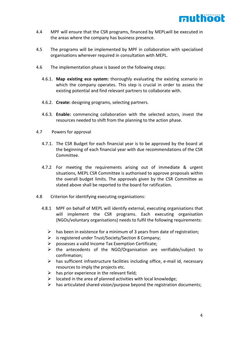

- 4.4 MPF will ensure that the CSR programs, financed by MEPLwill be executed in the areas where the company has business presence.
- 4.5 The programs will be implemented by MPF in collaboration with specialised organisations wherever required in consultation with MEPL.
- 4.6 The implementation phase is based on the following steps:
	- 4.6.1. **Map existing eco system:** thoroughly evaluating the existing scenario in which the company operates. This step is crucial in order to assess the existing potential and find relevant partners to collaborate with.
	- 4.6.2. **Create:** designing programs, selecting partners.
	- 4.6.3. **Enable:** commencing collaboration with the selected actors, invest the resources needed to shift from the planning to the action phase.
- 4.7 Powers for approval
	- 4.7.1. The CSR Budget for each financial year is to be approved by the board at the beginning of each financial year with due recommendations of the CSR Committee.
	- 4.7.2 For meeting the requirements arising out of immediate & urgent situations, MEPL CSR Committee is authorised to approve proposals within the overall budget limits. The approvals given by the CSR Committee as stated above shall be reported to the board for ratification.
- 4.8 Criterion for identifying executing organisations:
	- 4.8.1 MPF on behalf of MEPL will identify external, executing organisations that will implement the CSR programs. Each executing organisation (NGOs/voluntary organisations) needs to fulfil the following requirements:
		- $\triangleright$  has been in existence for a minimum of 3 years from date of registration;
		- ➢ is registered under Trust/Society/Section 8 Company;
		- ➢ possesses a valid Income Tax Exemption Certificate;
		- ➢ the antecedents of the NGO/Organisation are verifiable/subject to confirmation;
		- $\triangleright$  has sufficient infrastructure facilities including office, e-mail id, necessary resources to imply the projects etc.
		- $\triangleright$  has prior experience in the relevant field;
		- $\triangleright$  located in the area of planned activities with local knowledge;
		- $\triangleright$  has articulated shared vision/purpose beyond the registration documents;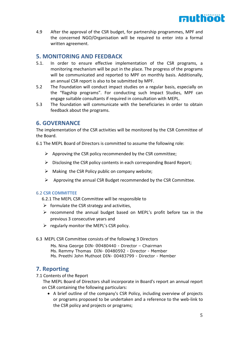

4.9 After the approval of the CSR budget, for partnership programmes, MPF and the concerned NGO/Organisation will be required to enter into a formal written agreement.

## <span id="page-5-0"></span>**5. MONITORING AND FEEDBACK**

- 5.1. In order to ensure effective implementation of the CSR programs, a monitoring mechanism will be put in the place. The progress of the programs will be communicated and reported to MPF on monthly basis. Additionally, an annual CSR report is also to be submitted by MPF.
- 5.2 The Foundation will conduct impact studies on a regular basis, especially on the "flagship programs". For conducting such Impact Studies, MPF can engage suitable consultants if required in consultation with MEPL.
- 5.3 The foundation will communicate with the beneficiaries in order to obtain feedback about the programs.

### <span id="page-5-1"></span>**6. GOVERNANCE**

The implementation of the CSR activities will be monitored by the CSR Committee of the Board.

- 6.1 The MEPL Board of Directors is committed to assume the following role:
	- $\triangleright$  Approving the CSR policy recommended by the CSR committee;
	- $\triangleright$  Disclosing the CSR policy contents in each corresponding Board Report;
	- $\triangleright$  Making the CSR Policy public on company website;
	- $\triangleright$  Approving the annual CSR Budget recommended by the CSR Committee.

#### 6.2 **CSR COMMITTEE**

6.2.1 The MEPL CSR Committee will be responsible to

- $\triangleright$  formulate the CSR strategy and activities.
- ➢ recommend the annual budget based on MEPL's profit before tax in the previous 3 consecutive years and
- $\triangleright$  regularly monitor the MEPL's CSR policy.
- 6.3 MEPL CSR Committee consists of the following 3 Directors
	- Ms. Nina George DIN- 00480440 Director Chairman Ms. Remmy Thomas DIN- 00480592 - Director - Member Ms. Preethi John Muthoot DIN- 00483799 - Director - Member

## **7. Reporting**

7.1 Contents of the Report

The MEPL Board of Directors shall incorporate in Board's report an annual report on CSR containing the following particulars:

• A brief outline of the company's CSR Policy, including overview of projects or programs proposed to be undertaken and a reference to the web-link to the CSR policy and projects or programs;